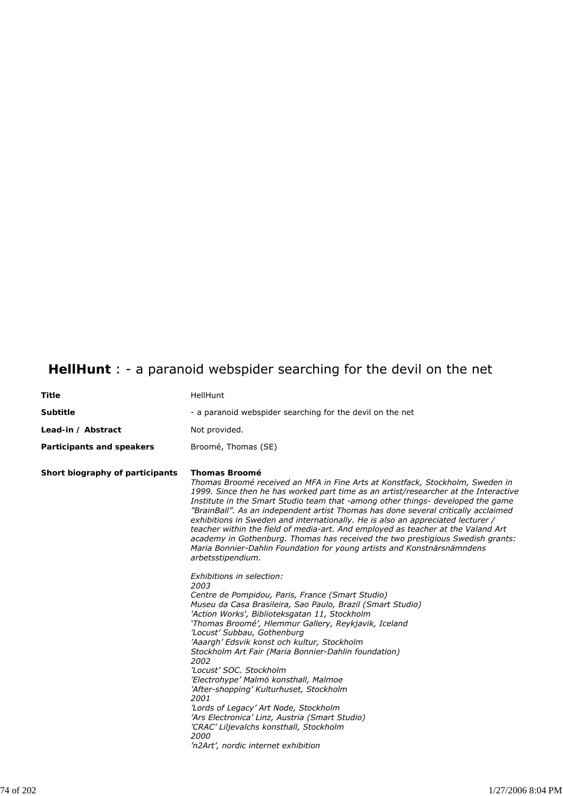## **HellHunt** : - a paranoid webspider searching for the devil on the net

| <b>Title</b>                    | HellHunt                                                                                                                                                                                                                                                                                                                                                                                                                                                                                                                                                                                                                                                                                                                                                                                                                                                                                                                                                                                                                                                                                                                                                                                                                                                                                                                                                                                                                                                 |
|---------------------------------|----------------------------------------------------------------------------------------------------------------------------------------------------------------------------------------------------------------------------------------------------------------------------------------------------------------------------------------------------------------------------------------------------------------------------------------------------------------------------------------------------------------------------------------------------------------------------------------------------------------------------------------------------------------------------------------------------------------------------------------------------------------------------------------------------------------------------------------------------------------------------------------------------------------------------------------------------------------------------------------------------------------------------------------------------------------------------------------------------------------------------------------------------------------------------------------------------------------------------------------------------------------------------------------------------------------------------------------------------------------------------------------------------------------------------------------------------------|
| <b>Subtitle</b>                 | - a paranoid webspider searching for the devil on the net                                                                                                                                                                                                                                                                                                                                                                                                                                                                                                                                                                                                                                                                                                                                                                                                                                                                                                                                                                                                                                                                                                                                                                                                                                                                                                                                                                                                |
| Lead-in / Abstract              | Not provided.                                                                                                                                                                                                                                                                                                                                                                                                                                                                                                                                                                                                                                                                                                                                                                                                                                                                                                                                                                                                                                                                                                                                                                                                                                                                                                                                                                                                                                            |
| Participants and speakers       | Broomé, Thomas (SE)                                                                                                                                                                                                                                                                                                                                                                                                                                                                                                                                                                                                                                                                                                                                                                                                                                                                                                                                                                                                                                                                                                                                                                                                                                                                                                                                                                                                                                      |
| Short biography of participants | <b>Thomas Broomé</b><br>Thomas Broomé received an MFA in Fine Arts at Konstfack, Stockholm, Sweden in<br>1999. Since then he has worked part time as an artist/researcher at the Interactive<br>Institute in the Smart Studio team that -among other things- developed the game<br>"BrainBall". As an independent artist Thomas has done several critically acclaimed<br>exhibitions in Sweden and internationally. He is also an appreciated lecturer /<br>teacher within the field of media-art. And employed as teacher at the Valand Art<br>academy in Gothenburg. Thomas has received the two prestigious Swedish grants:<br>Maria Bonnier-Dahlin Foundation for young artists and Konstnärsnämndens<br>arbetsstipendium.<br>Exhibitions in selection:<br>2003<br>Centre de Pompidou, Paris, France (Smart Studio)<br>Museu da Casa Brasileira, Sao Paulo, Brazil (Smart Studio)<br>'Action Works', Biblioteksgatan 11, Stockholm<br>'Thomas Broomé', Hlemmur Gallery, Reykjavik, Iceland<br>'Locust' Subbau, Gothenburg<br>'Aaargh' Edsvik konst och kultur, Stockholm<br>Stockholm Art Fair (Maria Bonnier-Dahlin foundation)<br>2002<br>'Locust' SOC, Stockholm<br>'Electrohype' Malmö konsthall, Malmoe<br>'After-shopping' Kulturhuset, Stockholm<br>2001<br>'Lords of Legacy' Art Node, Stockholm<br>'Ars Electronica' Linz, Austria (Smart Studio)<br>'CRAC' Liljevalchs konsthall, Stockholm<br>2000<br>'n2Art', nordic internet exhibition |